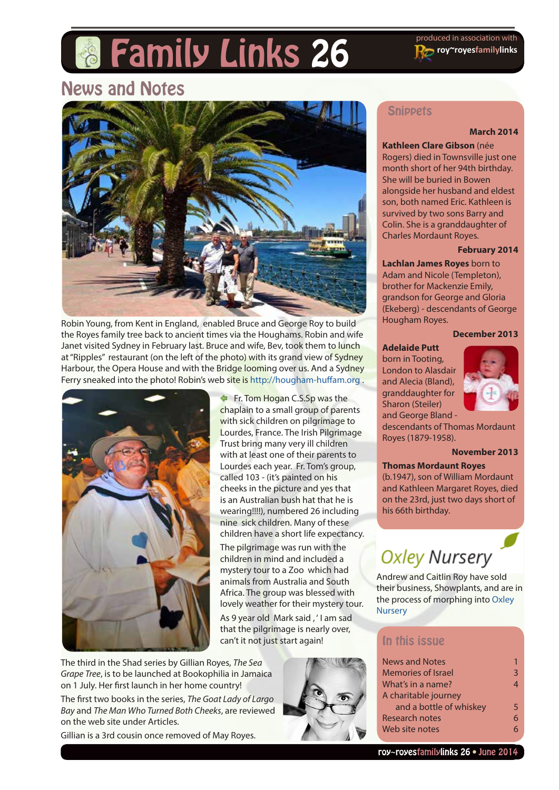# **Family Links 26** Produced in association with

**roy~royesfamilylinks**

# News and Notes



Robin Young, from Kent in England, enabled Bruce and George Roy to build the Royes family tree back to ancient times via the Houghams. Robin and wife Janet visited Sydney in February last. Bruce and wife, Bev, took them to lunch at "Ripples" restaurant (on the left of the photo) with its grand view of Sydney Harbour, the Opera House and with the Bridge looming over us. And a Sydney Ferry sneaked into the photo! Robin's web site is http://hougham-huffam.org.



Fr. Tom Hogan C.S.Sp was the chaplain to a small group of parents with sick children on pilgrimage to Lourdes, France. The Irish Pilgrimage Trust bring many very ill children with at least one of their parents to Lourdes each year. Fr. Tom's group, called 103 - (it's painted on his cheeks in the picture and yes that is an Australian bush hat that he is wearing!!!!), numbered 26 including nine sick children. Many of these children have a short life expectancy.

The pilgrimage was run with the children in mind and included a mystery tour to a Zoo which had animals from Australia and South Africa. The group was blessed with lovely weather for their mystery tour.

As 9 year old Mark said , ' I am sad that the pilgrimage is nearly over, can't it not just start again!

The third in the Shad series by Gillian Royes, *The Sea Grape Tree*, is to be launched at Bookophilia in Jamaica on 1 July. Her first launch in her home country!

The first two books in the series, *The Goat Lady of Largo Bay* and *The Man Who Turned Both Cheeks*, are reviewed on the web site under Articles.

Gillian is a 3rd cousin once removed of May Royes.

#### **Snippets**

#### **March 2014**

**Kathleen Clare Gibson** (née Rogers) died in Townsville just one month short of her 94th birthday. She will be buried in Bowen alongside her husband and eldest son, both named Eric. Kathleen is survived by two sons Barry and Colin. She is a granddaughter of Charles Mordaunt Royes.

#### **February 2014**

**Lachlan James Royes** born to Adam and Nicole (Templeton), brother for Mackenzie Emily, grandson for George and Gloria (Ekeberg) - descendants of George Hougham Royes.

#### **December 2013**

#### **Adelaide Putt**

born in Tooting, London to Alasdair and Alecia (Bland), granddaughter for Sharon (Steiler) and George Bland -



descendants of Thomas Mordaunt Royes (1879-1958).

#### **November 2013**

#### **Thomas Mordaunt Royes**

(b.1947), son of William Mordaunt and Kathleen Margaret Royes, died on the 23rd, just two days short of his 66th birthday.

# **Oxley Nursery**

Andrew and Caitlin Roy have sold their business, Showplants, and are in the process of morphing into [Oxley](http://www.oxleynursery.com)  **[Nursery](http://www.oxleynursery.com)** 

#### In this issue

| News and Notes            |   |  |
|---------------------------|---|--|
| <b>Memories of Israel</b> | 3 |  |
| What's in a name?         |   |  |
| A charitable journey      |   |  |
| and a bottle of whiskey   |   |  |
| Research notes            |   |  |
| Web site notes            |   |  |
|                           |   |  |

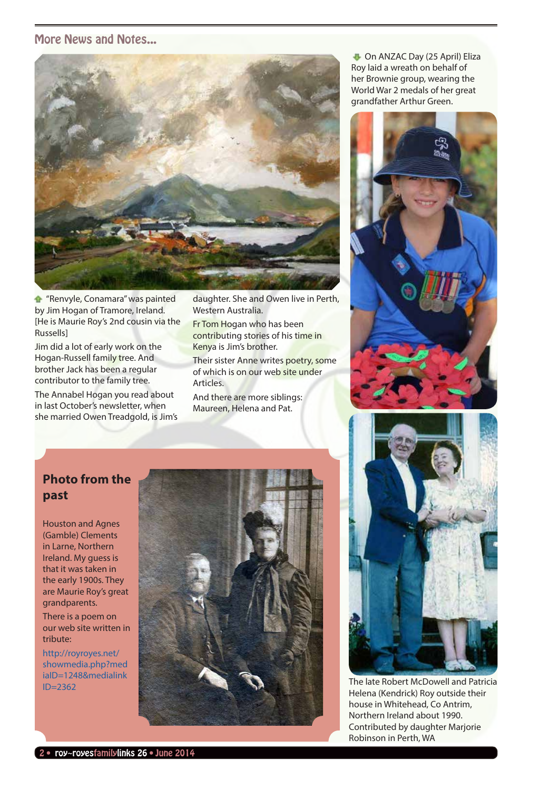#### More News and Notes...



**T** "Renvyle, Conamara" was painted by Jim Hogan of Tramore, Ireland. [He is Maurie Roy's 2nd cousin via the Russells]

Jim did a lot of early work on the Hogan-Russell family tree. And brother Jack has been a regular contributor to the family tree.

The Annabel Hogan you read about in last October's newsletter, when she married Owen Treadgold, is Jim's daughter. She and Owen live in Perth, Western Australia.

Fr Tom Hogan who has been contributing stories of his time in Kenya is Jim's brother.

Their sister Anne writes poetry, some of which is on our web site under **Articles** 

And there are more siblings: Maureen, Helena and Pat.

**D** On ANZAC Day (25 April) Eliza Roy laid a wreath on behalf of her Brownie group, wearing the World War 2 medals of her great grandfather Arthur Green.



#### **Photo from the past**

Houston and Agnes (Gamble) Clements in Larne, Northern Ireland. My guess is that it was taken in the early 1900s. They are Maurie Roy's great grandparents.

There is a poem on our web site written in tribute:

http://royroyes.net/ showmedia.php?med iaID=1248&medialink ID=2362





The late Robert McDowell and Patricia Helena (Kendrick) Roy outside their house in Whitehead, Co Antrim, Northern Ireland about 1990. Contributed by daughter Marjorie Robinson in Perth, WA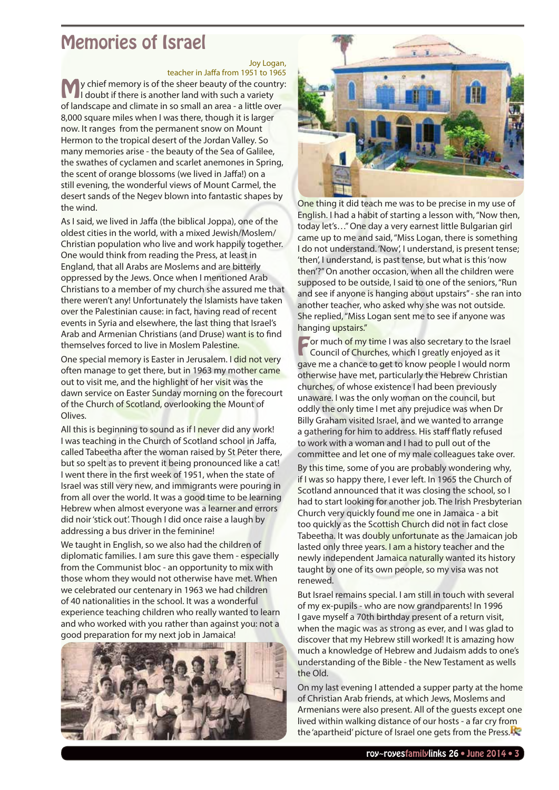# <span id="page-2-0"></span>Memories of Israel

Joy Logan, teacher in Jaffa from 1951 to 1965

**My chief memory is of the sheer beauty of the country:**<br>I doubt if there is another land with such a variety of landscape and climate in so small an area - a little over 8,000 square miles when I was there, though it is larger now. It ranges from the permanent snow on Mount Hermon to the tropical desert of the Jordan Valley. So many memories arise - the beauty of the Sea of Galilee, the swathes of cyclamen and scarlet anemones in Spring, the scent of orange blossoms (we lived in Jaffa!) on a still evening, the wonderful views of Mount Carmel, the desert sands of the Negev blown into fantastic shapes by the wind.

As I said, we lived in Jaffa (the biblical Joppa), one of the oldest cities in the world, with a mixed Jewish/Moslem/ Christian population who live and work happily together. One would think from reading the Press, at least in England, that all Arabs are Moslems and are bitterly oppressed by the Jews. Once when I mentioned Arab Christians to a member of my church she assured me that there weren't any! Unfortunately the Islamists have taken over the Palestinian cause: in fact, having read of recent events in Syria and elsewhere, the last thing that Israel's Arab and Armenian Christians (and Druse) want is to find themselves forced to live in Moslem Palestine.

One special memory is Easter in Jerusalem. I did not very often manage to get there, but in 1963 my mother came out to visit me, and the highlight of her visit was the dawn service on Easter Sunday morning on the forecourt of the Church of Scotland, overlooking the Mount of Olives.

All this is beginning to sound as if I never did any work! I was teaching in the Church of Scotland school in Jaffa, called Tabeetha after the woman raised by St Peter there, but so spelt as to prevent it being pronounced like a cat! I went there in the first week of 1951, when the state of Israel was still very new, and immigrants were pouring in from all over the world. It was a good time to be learning Hebrew when almost everyone was a learner and errors did noir 'stick out'. Though I did once raise a laugh by addressing a bus driver in the feminine!

We taught in English, so we also had the children of diplomatic families. I am sure this gave them - especially from the Communist bloc - an opportunity to mix with those whom they would not otherwise have met. When we celebrated our centenary in 1963 we had children of 40 nationalities in the school. It was a wonderful experience teaching children who really wanted to learn and who worked with you rather than against you: not a good preparation for my next job in Jamaica!





One thing it did teach me was to be precise in my use of English. I had a habit of starting a lesson with, "Now then, today let's…" One day a very earnest little Bulgarian girl came up to me and said, "Miss Logan, there is something I do not understand. 'Now', I understand, is present tense; 'then', I understand, is past tense, but what is this 'now then'?" On another occasion, when all the children were supposed to be outside, I said to one of the seniors, "Run and see if anyone is hanging about upstairs" - she ran into another teacher, who asked why she was not outside. She replied, "Miss Logan sent me to see if anyone was hanging upstairs."

**For much of my time I was also secretary to the Israel Council of Churches, which I greatly enjoyed as it** gave me a chance to get to know people I would norm otherwise have met, particularly the Hebrew Christian churches, of whose existence I had been previously unaware. I was the only woman on the council, but oddly the only time I met any prejudice was when Dr Billy Graham visited Israel, and we wanted to arrange a gathering for him to address. His staff flatly refused to work with a woman and I had to pull out of the committee and let one of my male colleagues take over.

By this time, some of you are probably wondering why, if I was so happy there, I ever left. In 1965 the Church of Scotland announced that it was closing the school, so I had to start looking for another job. The Irish Presbyterian Church very quickly found me one in Jamaica - a bit too quickly as the Scottish Church did not in fact close Tabeetha. It was doubly unfortunate as the Jamaican job lasted only three years. I am a history teacher and the newly independent Jamaica naturally wanted its history taught by one of its own people, so my visa was not renewed.

But Israel remains special. I am still in touch with several of my ex-pupils - who are now grandparents! In 1996 I gave myself a 70th birthday present of a return visit, when the magic was as strong as ever, and I was glad to discover that my Hebrew still worked! It is amazing how much a knowledge of Hebrew and Judaism adds to one's understanding of the Bible - the New Testament as wells the Old.

On my last evening I attended a supper party at the home of Christian Arab friends, at which Jews, Moslems and Armenians were also present. All of the guests except one lived within walking distance of our hosts - a far cry from the 'apartheid' picture of Israel one gets from the Press.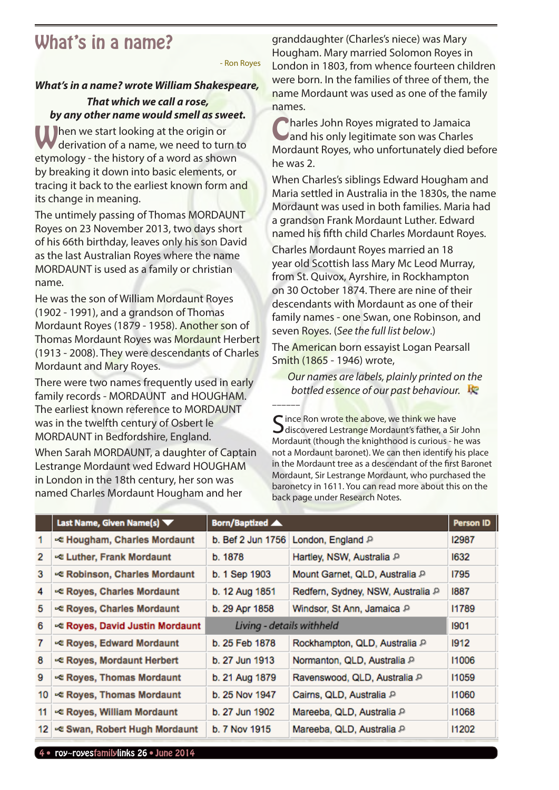# <span id="page-3-0"></span>What's in a name?

- Ron Royes

#### *What's in a name? wrote William Shakespeare, That which we call a rose, by any other name would smell as sweet.*

**When we start looking at the origin or** derivation of a name, we need to turn to etymology - the history of a word as shown by breaking it down into basic elements, or tracing it back to the earliest known form and its change in meaning.

The untimely passing of Thomas MORDAUNT Royes on 23 November 2013, two days short of his 66th birthday, leaves only his son David as the last Australian Royes where the name MORDAUNT is used as a family or christian name.

He was the son of William Mordaunt Royes (1902 - 1991), and a grandson of Thomas Mordaunt Royes (1879 - 1958). Another son of Thomas Mordaunt Royes was Mordaunt Herbert (1913 - 2008). They were descendants of Charles Mordaunt and Mary Royes.

There were two names frequently used in early family records - MORDAUNT and HOUGHAM. The earliest known reference to MORDAUNT was in the twelfth century of Osbert le MORDAUNT in Bedfordshire, England.

When Sarah MORDAUNT, a daughter of Captain Lestrange Mordaunt wed Edward HOUGHAM in London in the 18th century, her son was named Charles Mordaunt Hougham and her

granddaughter (Charles's niece) was Mary Hougham. Mary married Solomon Royes in London in 1803, from whence fourteen children were born. In the families of three of them, the name Mordaunt was used as one of the family names.

Charles John Royes migrated to Jamaica<br>Cand his only legitimate son was Charles Mordaunt Royes, who unfortunately died before he was 2.

When Charles's siblings Edward Hougham and Maria settled in Australia in the 1830s, the name Mordaunt was used in both families. Maria had a grandson Frank Mordaunt Luther. Edward named his fifth child Charles Mordaunt Royes.

Charles Mordaunt Royes married an 18 year old Scottish lass Mary Mc Leod Murray, from St. Quivox, Ayrshire, in Rockhampton on 30 October 1874. There are nine of their descendants with Mordaunt as one of their family names - one Swan, one Robinson, and seven Royes. (*See the full list below*.)

The American born essayist Logan Pearsall Smith (1865 - 1946) wrote,

*Our names are labels, plainly printed on the bottled essence of our past behaviour.*

Since Ron wrote the above, we think we have<br>Sincovered Lestrange Mordaunt's father, a Sir John Mordaunt (though the knighthood is curious - he was not a Mordaunt baronet). We can then identify his place in the Mordaunt tree as a descendant of the first Baronet Mordaunt, Sir Lestrange Mordaunt, who purchased the baronetcy in 1611. You can read more about this on the back page under Research Notes.

|    | Last Name, Given Name(s)       | Born/Baptized             |                                   | <b>Person ID</b> |
|----|--------------------------------|---------------------------|-----------------------------------|------------------|
|    | - Hougham, Charles Mordaunt    | b. Bef 2 Jun 1756         | London, England P                 | 12987            |
| 2  | - Luther, Frank Mordaunt       | b. 1878                   | Hartley, NSW, Australia P         | 1632             |
| 3  | ⊷ Robinson, Charles Mordaunt   | b. 1 Sep 1903             | Mount Garnet, QLD, Australia P    | 1795             |
| 4  | - Royes, Charles Mordaunt      | b. 12 Aug 1851            | Redfern, Sydney, NSW, Australia P | 1887             |
| 5  | - Royes, Charles Mordaunt      | b. 29 Apr 1858            | Windsor, St Ann, Jamaica P        | 11789            |
| 6  | ⊳ Royes, David Justin Mordaunt | Living - details withheld |                                   | 1901             |
| 7  | ⊷ Royes, Edward Mordaunt       | b. 25 Feb 1878            | Rockhampton, QLD, Australia P     | 1912             |
| 8  | ⊷ Royes, Mordaunt Herbert      | b. 27 Jun 1913            | Normanton, QLD, Australia P       | 11006            |
| 9  | ⊳e Royes, Thomas Mordaunt      | b. 21 Aug 1879            | Ravenswood, QLD, Australia P      | 11059            |
| 10 | ⊳e Royes, Thomas Mordaunt      | b. 25 Nov 1947            | Cairns, QLD, Australia P          | 11060            |
| 11 | - Royes, William Mordaunt      | b. 27 Jun 1902            | Mareeba, QLD, Australia P         | 11068            |
| 12 | - Swan, Robert Hugh Mordaunt   | b. 7 Nov 1915             | Mareeba, QLD, Australia P         | 11202            |

––––––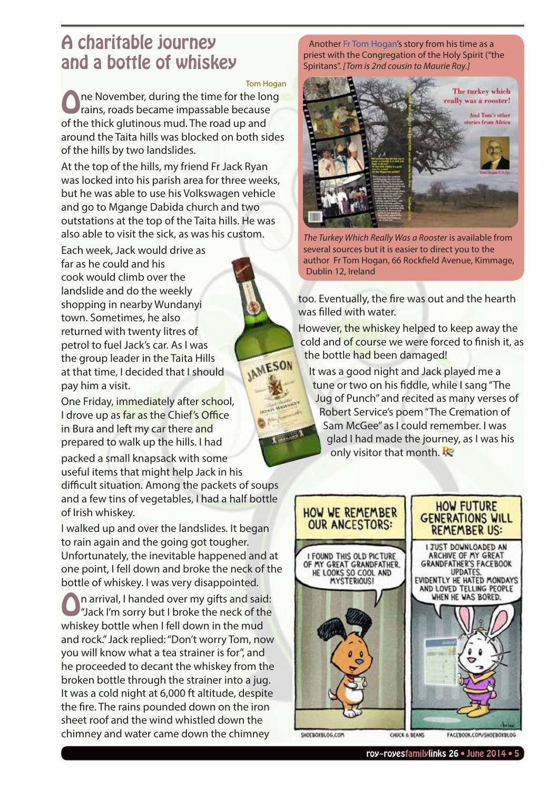# <span id="page-4-0"></span>A charitable journey and a bottle of whiskey

Tom Hogan

**IAMESON** 

ne November, during the time for the long rains, roads became impassable because of the thick glutinous mud. The road up and around the Taita hills was blocked on both sides of the hills by two landslides.

At the top of the hills, my friend Fr Jack Ryan was locked into his parish area for three weeks, but he was able to use his Volkswagen vehicle and go to Mgange Dabida church and two outstations at the top of the Taita hills. He was also able to visit the sick, as was his custom.

Each week, Jack would drive as far as he could and his cook would climb over the landslide and do the weekly shopping in nearby Wundanyi town. Sometimes, he also returned with twenty litres of petrol to fuel Jack's car. As I was the group leader in the Taita Hills at that time, I decided that I should pay him a visit.

One Friday, immediately after school, I drove up as far as the Chief's Office in Bura and left my car there and prepared to walk up the hills. I had

packed a small knapsack with some useful items that might help Jack in his difficult situation. Among the packets of soups and a few tins of vegetables, I had a half bottle of Irish whiskey.

I walked up and over the landslides. It began to rain again and the going got tougher. Unfortunately, the inevitable happened and at one point, I fell down and broke the neck of the bottle of whiskey. I was very disappointed.

On arrival, I handed over my gifts and said: "Jack I'm sorry but I broke the neck of the whiskey bottle when I fell down in the mud and rock." Jack replied: "Don't worry Tom, now you will know what a tea strainer is for", and he proceeded to decant the whiskey from the broken bottle through the strainer into a jug. It was a cold night at 6,000 ft altitude, despite the fire. The rains pounded down on the iron sheet roof and the wind whistled down the chimney and water came down the chimney

Another [Fr Tom Hogan'](http://royroyes.net/getperson.php?personID=I456&tree=rr_tree)s story from his time as a priest with the Congregation of the Holy Spirit ("the Spiritans". *[Tom is 2nd cousin to Maurie Roy.]*



*The Turkey Which Really Was a Rooster* is available from several sources but it is easier to direct you to the author Fr Tom Hogan, 66 Rockfield Avenue, Kimmage, Dublin 12, Ireland

too. Eventually, the fire was out and the hearth was filled with water.

However, the whiskey helped to keep away the cold and of course we were forced to finish it, as the bottle had been damaged!

It was a good night and Jack played me a tune or two on his fiddle, while I sang "The Jug of Punch" and recited as many verses of Robert Service's poem "The Cremation of Sam McGee" as I could remember. I was glad I had made the journey, as I was his only visitor that month.  $\mathbb{R}$ 



CHUCK & BEANS

SHOEBOXBLOG.COM

FACEBOOK.COM/SHOEBOXBLOG